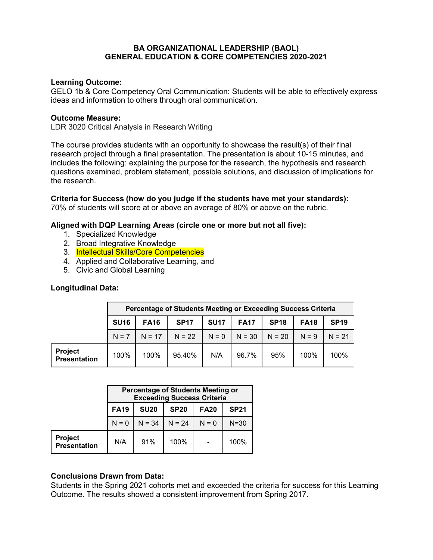### **BA ORGANIZATIONAL LEADERSHIP (BAOL) GENERAL EDUCATION & CORE COMPETENCIES 2020-2021**

### **Learning Outcome:**

GELO 1b & Core Competency Oral Communication: Students will be able to effectively express ideas and information to others through oral communication.

#### **Outcome Measure:**

LDR 3020 Critical Analysis in Research Writing

The course provides students with an opportunity to showcase the result(s) of their final research project through a final presentation. The presentation is about 10-15 minutes, and includes the following: explaining the purpose for the research, the hypothesis and research questions examined, problem statement, possible solutions, and discussion of implications for the research.

**Criteria for Success (how do you judge if the students have met your standards):** 70% of students will score at or above an average of 80% or above on the rubric.

#### **Aligned with DQP Learning Areas (circle one or more but not all five):**

- 1. Specialized Knowledge
- 2. Broad Integrative Knowledge
- 3. Intellectual Skills/Core Competencies
- 4. Applied and Collaborative Learning, and
- 5. Civic and Global Learning

#### **Longitudinal Data:**

|                                       | Percentage of Students Meeting or Exceeding Success Criteria |             |             |             |                    |             |             |             |
|---------------------------------------|--------------------------------------------------------------|-------------|-------------|-------------|--------------------|-------------|-------------|-------------|
|                                       | <b>SU16</b>                                                  | <b>FA16</b> | <b>SP17</b> | <b>SU17</b> | <b>FA17</b>        | <b>SP18</b> | <b>FA18</b> | <b>SP19</b> |
|                                       | $N = 7$                                                      | $N = 17$    | $N = 22$    |             | $N = 0$   $N = 30$ | $N = 20$    | $N = 9$     | $N = 21$    |
| <b>Project</b><br><b>Presentation</b> | 100%                                                         | 100%        | 95.40%      | N/A         | 96.7%              | 95%         | 100%        | 100%        |

|                                       | <b>Percentage of Students Meeting or</b><br><b>Exceeding Success Criteria</b> |             |             |                          |             |  |  |
|---------------------------------------|-------------------------------------------------------------------------------|-------------|-------------|--------------------------|-------------|--|--|
|                                       | <b>FA19</b>                                                                   | <b>SU20</b> | <b>SP20</b> | <b>FA20</b>              | <b>SP21</b> |  |  |
|                                       | $N = 0$                                                                       | $N = 34$    | $N = 24$    | $N = 0$                  | $N = 30$    |  |  |
| <b>Project</b><br><b>Presentation</b> | N/A                                                                           | 91%         | 100%        | $\overline{\phantom{a}}$ | 100%        |  |  |

#### **Conclusions Drawn from Data:**

Students in the Spring 2021 cohorts met and exceeded the criteria for success for this Learning Outcome. The results showed a consistent improvement from Spring 2017.